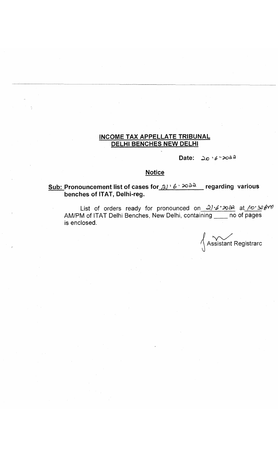## **INCOME TAX APPELLATE TRIBUNAL DELHI BENCHES NEW DELHI**

Date:  $\omega_0$   $\cdot$   $\epsilon$   $\sim$   $\infty$   $a$   $a$ 

### **Notice**

# **Sub: Pronouncement list of cases for** *& ]' 6 '* **regarding various benches of ITAT, Delhi-reg.**

List of orders ready for pronounced on  $\sqrt{2}$  of  $\sqrt{2}$  at  $\sqrt{v'}$ AM/PM of ITAT Delhi Benches, New Delhi, containing no of pages is enclosed.

**/**  $^{\prime}$ \ Assistant Registrarc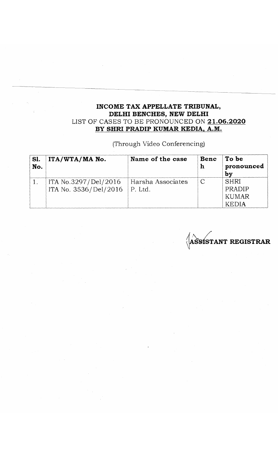## **INCOME TAX APPELLATE TRIBUNAL, DELHI BENCHES, NEW DELHI** LIST OF CASES TO BE PRONOUNCED ON **21**.**06.2020 BY SHRI PRADIP KUMAR KEDIA. A.M.**

(Through Video Conferencing)

| Sl.<br>No. | ITA/WTA/MA No.                                | Name of the case              | Benc<br>h     | To be<br>pronounced<br>bv               |
|------------|-----------------------------------------------|-------------------------------|---------------|-----------------------------------------|
|            | ITA No.3297/Del/2016<br>ITA No. 3536/Del/2016 | Harsha Associates<br> P. Ltd. | $\mathcal{C}$ | <b>SHRI</b><br>PRADIP<br>KUMAR<br>KEDIA |

**^AS&iSTANT REGISTRAR**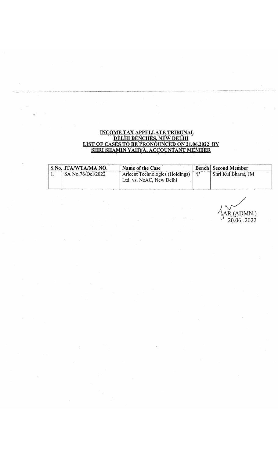#### INCOME TAX APPELLATE TRIBUNAL <u>DELHI BENCHES, NEW DELHI</u> LIST OF CASES TO BE PRONOUNCED ON 21.06.2022 BY <u>SHRI SHAMIN YAHYA, ACCOUNTANT MEMBER</u>

 $\sim$ 

| S.No. ITA/WTA/MA NO. | Name of the Case                     | <b>Bench Second Member</b> |
|----------------------|--------------------------------------|----------------------------|
| SA No.76/Del/2022    | Aricent Technologies (Holdings) ['I' | Shri Kul Bharat, JM        |
|                      | Ltd. vs. NeAC, New Delhi             |                            |

**R (ADMN.)** 20.06 2022